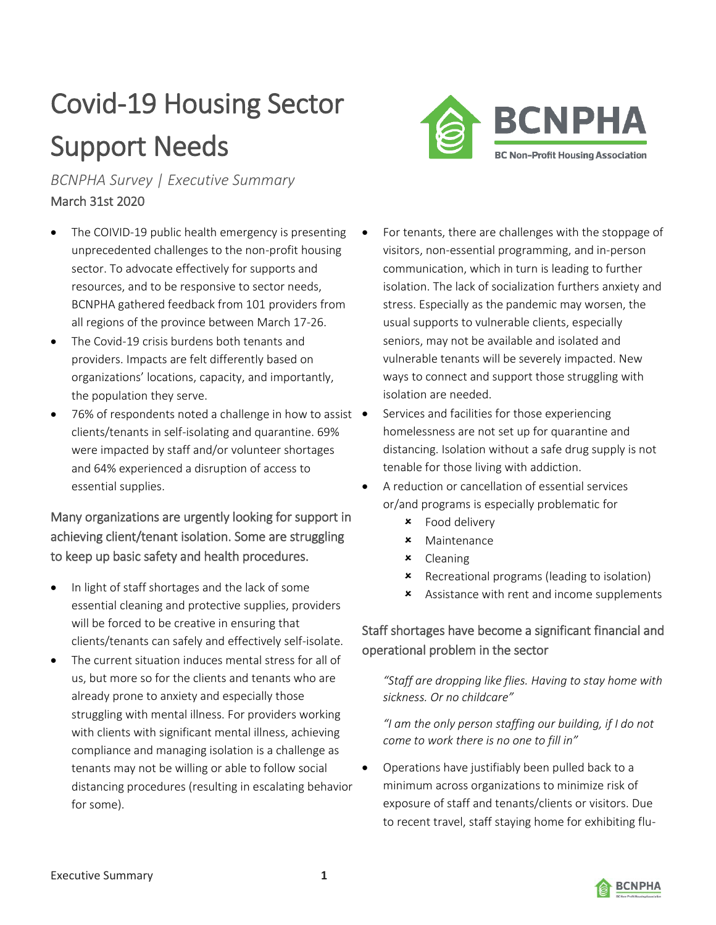# Covid-19 Housing Sector Support Needs

*BCNPHA Survey | Executive Summary* March 31st 2020

- The COIVID-19 public health emergency is presenting unprecedented challenges to the non-profit housing sector. To advocate effectively for supports and resources, and to be responsive to sector needs, BCNPHA gathered feedback from 101 providers from all regions of the province between March 17-26.
- The Covid-19 crisis burdens both tenants and providers. Impacts are felt differently based on organizations' locations, capacity, and importantly, the population they serve.
- 76% of respondents noted a challenge in how to assist clients/tenants in self-isolating and quarantine. 69% were impacted by staff and/or volunteer shortages and 64% experienced a disruption of access to essential supplies.

Many organizations are urgently looking for support in achieving client/tenant isolation. Some are struggling to keep up basic safety and health procedures.

- In light of staff shortages and the lack of some essential cleaning and protective supplies, providers will be forced to be creative in ensuring that clients/tenants can safely and effectively self-isolate.
- The current situation induces mental stress for all of us, but more so for the clients and tenants who are already prone to anxiety and especially those struggling with mental illness. For providers working with clients with significant mental illness, achieving compliance and managing isolation is a challenge as tenants may not be willing or able to follow social distancing procedures (resulting in escalating behavior for some).



- For tenants, there are challenges with the stoppage of visitors, non-essential programming, and in-person communication, which in turn is leading to further isolation. The lack of socialization furthers anxiety and stress. Especially as the pandemic may worsen, the usual supports to vulnerable clients, especially seniors, may not be available and isolated and vulnerable tenants will be severely impacted. New ways to connect and support those struggling with isolation are needed.
- Services and facilities for those experiencing homelessness are not set up for quarantine and distancing. Isolation without a safe drug supply is not tenable for those living with addiction.
- A reduction or cancellation of essential services or/and programs is especially problematic for
	- Food delivery
	- Maintenance
	- Cleaning
	- **\*** Recreational programs (leading to isolation)
	- **\*** Assistance with rent and income supplements

## Staff shortages have become a significant financial and operational problem in the sector

*"Staff are dropping like flies. Having to stay home with sickness. Or no childcare"*

*"I am the only person staffing our building, if I do not come to work there is no one to fill in"*

• Operations have justifiably been pulled back to a minimum across organizations to minimize risk of exposure of staff and tenants/clients or visitors. Due to recent travel, staff staying home for exhibiting flu-